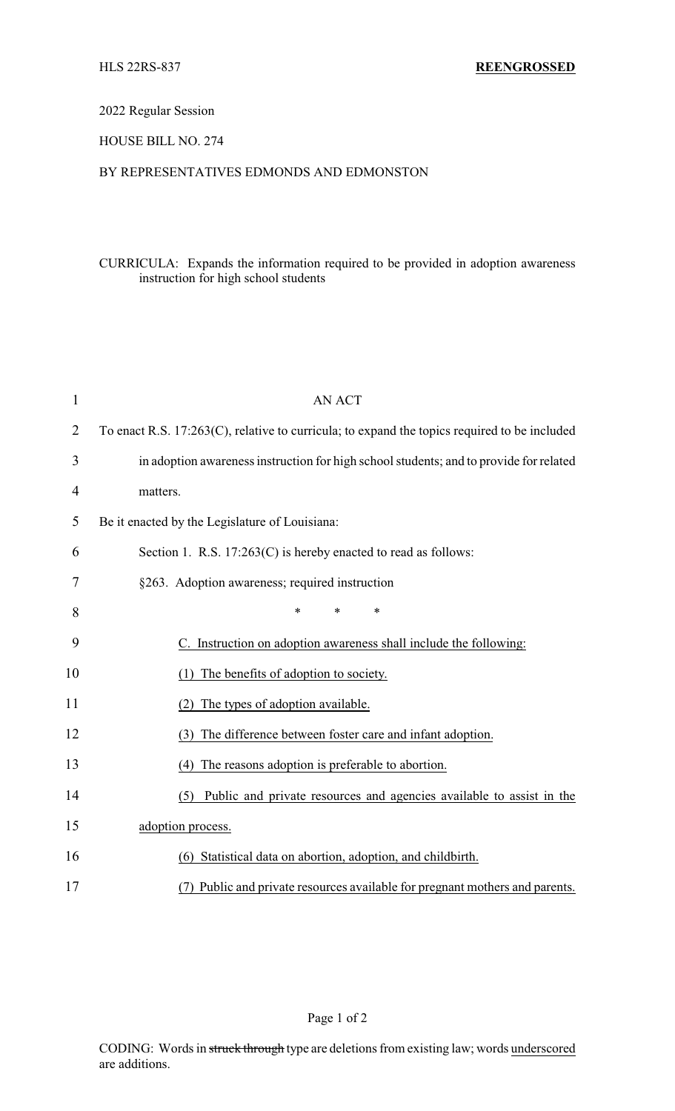2022 Regular Session

HOUSE BILL NO. 274

## BY REPRESENTATIVES EDMONDS AND EDMONSTON

## CURRICULA: Expands the information required to be provided in adoption awareness instruction for high school students

| $\mathbf{1}$   | <b>AN ACT</b>                                                                                |  |
|----------------|----------------------------------------------------------------------------------------------|--|
| $\overline{2}$ | To enact R.S. 17:263(C), relative to curricula; to expand the topics required to be included |  |
| 3              | in adoption awareness instruction for high school students; and to provide for related       |  |
| 4              | matters.                                                                                     |  |
| 5              | Be it enacted by the Legislature of Louisiana:                                               |  |
| 6              | Section 1. R.S. $17:263(C)$ is hereby enacted to read as follows:                            |  |
| 7              | §263. Adoption awareness; required instruction                                               |  |
| 8              | *<br>$\ast$<br>$\ast$                                                                        |  |
| 9              | C. Instruction on adoption awareness shall include the following:                            |  |
| 10             | The benefits of adoption to society.                                                         |  |
| 11             | The types of adoption available.<br>(2)                                                      |  |
| 12             | The difference between foster care and infant adoption.<br>(3)                               |  |
| 13             | (4) The reasons adoption is preferable to abortion.                                          |  |
| 14             | Public and private resources and agencies available to assist in the<br>(5)                  |  |
| 15             | adoption process.                                                                            |  |
| 16             | (6) Statistical data on abortion, adoption, and childbirth.                                  |  |
| 17             | (7) Public and private resources available for pregnant mothers and parents.                 |  |